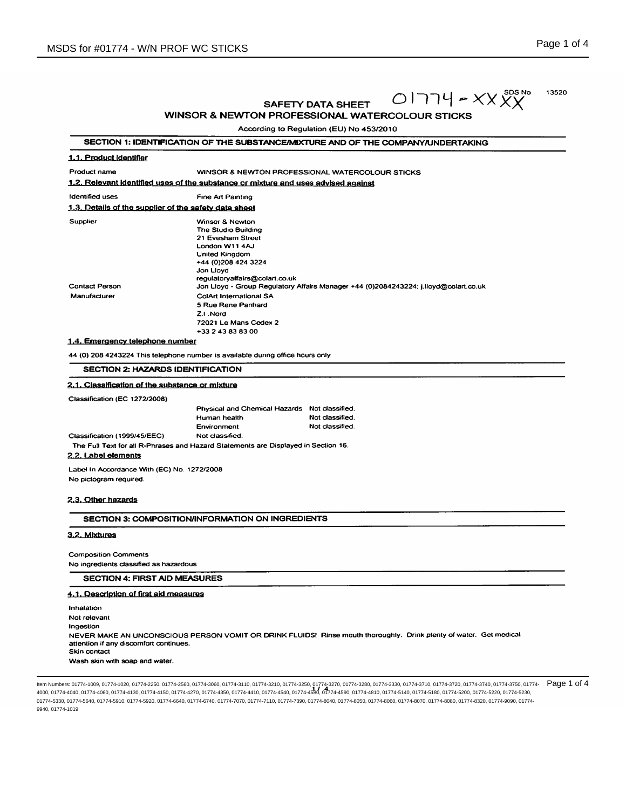13520

# $O1774 - XXXX$ **SAFETY DATA SHEET**

WINSOR & NEWTON PROFESSIONAL WATERCOLOUR STICKS

According to Regulation (EU) No 453/2010

# SECTION 1: IDENTIFICATION OF THE SUBSTANCEMIXTURE AND OF THE COMPANY/UNDERTAKING

#### 1.1. Product identifier

Product name WINSOR & NEWTON PROFESSIONAL WATERCOLOUR STICKS

1.2. Relevant identified uses of the substance or mixture and uses advised against

| <b>Fine Art Painting</b> |
|--------------------------|
|                          |

# 1.3. Details of the supplier of the safety data sheet

| Supplier       | Winsor & Newton                                                                      |
|----------------|--------------------------------------------------------------------------------------|
|                | The Studio Building                                                                  |
|                | 21 Evesham Street                                                                    |
|                | London W11 4AJ                                                                       |
|                | United Kingdom                                                                       |
|                | +44 (0)208 424 3224                                                                  |
|                | <b>Jon Llovd</b>                                                                     |
|                | regulatoryaffairs@colart.co.uk                                                       |
| Contact Person | Jon Lloyd - Group Regulatory Affairs Manager +44 (0)2084243224; j.lloyd@colart.co.uk |
| Manufacturer   | <b>ColArt International SA</b>                                                       |
|                | 5 Rue Rene Panhard                                                                   |
|                | Z.I. Nord                                                                            |
|                | 72021 Le Mans Cedex 2                                                                |
|                | $+33243838300$                                                                       |

# 1.4. Emergency telephone number

44 (0) 208 4243224 This telephone number is available during office hours only

SECTION 2: HAZARDS IDENTIFICATION

#### 2.1. Classification of the substance or mixture

Classification (EC 1272/2008)

|                              | Physical and Chemical Hazards Not classified. |                 |  |
|------------------------------|-----------------------------------------------|-----------------|--|
|                              | Human health                                  | Not classified. |  |
|                              | Environment                                   | Not classified. |  |
| Classification (1999/45/EEC) | Not classified.                               |                 |  |

The Full Text for all R-Phrases and Hazard Statements are Displayed in Section 16.

# 2.2. Label elements

Label In Accordance With (EC) No. 1272/2008 No pictogram required.

#### 2.3. Other hazards

**SECTION 3: COMPOSITION/INFORMATION ON INGREDIENTS** 

#### 3.2. Mixtures

**Composition Comments** No ingredients classified as hazardous

# **SECTION 4: FIRST AID MEASURES**

#### 4.1. Description of first aid measures

Inhalation Not relevant Ingestion NEVER MAKE AN UNCONSCIOUS PERSON VOMIT OR DRINK FLUIDS! Rinse mouth thoroughly. Drink plenty of water. Get medical attention if any discomfort continues. Skin contact Wash skin with soap and water.

ttem Numbers: 01774-1009, 01774-1020, 01774-250, 01774-2500, 01774-3060, 01774-3110, 01774-3210, 01774-3250, 01774-3270, 01774-3280, 01774-3310, 01774-3710, 01774-3720, 01774-3740, 01774-3740, 01774-3740, 01774-3740, 01774 01774-5330, 01774-5640, 01774-5910, 01774-5920, 01774-6640, 01774-6740, 01774-7070, 01774-7110, 01774-7390, 01774-8040, 01774-8050, 01774-8060, 01774-8070, 01774-8080, 01774-8320, 01774-8020, 0174-8020, 01774-8070, 01774-80 9940, 01774-1019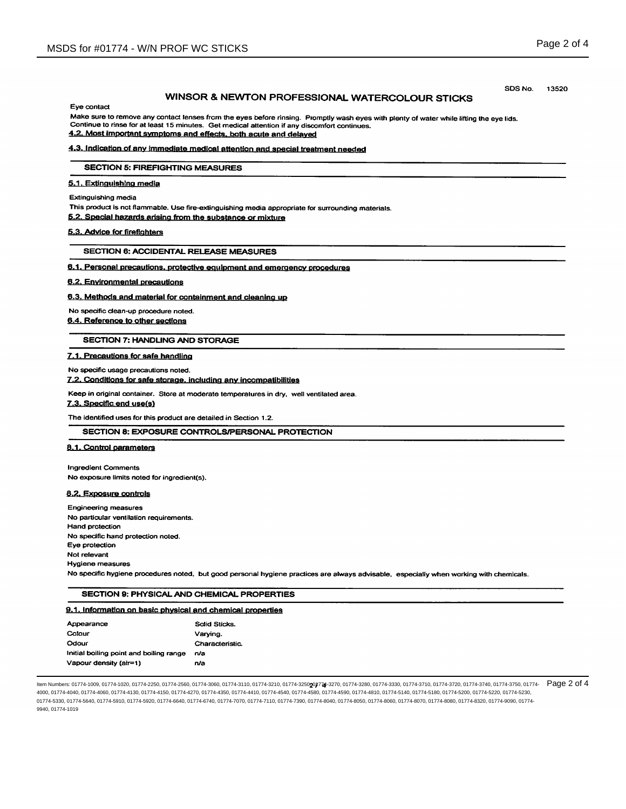# WINSOR & NEWTON PROFESSIONAL WATERCOLOUR STICKS

Eye contact

Make sure to remove any contact lenses from the eyes before rinsing. Promptly wash eyes with plenty of water while lifting the eye lids. Continue to rinse for at least 15 minutes. Get medical attention if any discomfort continues.

# 4.2. Most important symptoms and effects, both acute and delayed

# 4.3. Indication of any immediate medical attention and special treatment needed

**SECTION 5: FIREFIGHTING MEASURES** 

# 5.1. Extinguishing media

#### Extinguishing media

This product is not flammable. Use fire-extinguishing media appropriate for surrounding materials.

#### 5.2. Special hazards arising from the substance or mixture

#### 5.3. Advice for firefighters

# **SECTION 6: ACCIDENTAL RELEASE MEASURES**

#### 6.1. Personal precautions, protective equipment and emergency procedures

#### 6.2. Environmental precautions

### 6.3. Methods and material for containment and cleaning up

No specific clean-up procedure noted.

6.4. Reference to other sections

# **SECTION 7: HANDLING AND STORAGE**

#### 7.1. Precautions for safe handling

#### No specific usage precautions noted.

## 7.2. Conditions for safe storage, including any incompatibilities

Keep in original container. Store at moderate temperatures in dry, well ventilated area.

#### 7.3. Specific end use(s)

The identified uses for this product are detailed in Section 1.2.

## SECTION 8: EXPOSURE CONTROLS/PERSONAL PROTECTION

#### 8.1. Control parameters

**Ingredient Comments** No exposure limits noted for ingredient(s).

#### 8.2. Exposure controls

**Engineering measures** No particular ventilation requirements. **Hand protection** No specific hand protection noted. Eye protection Not relevant Hygiene measures No specific hygiene procedures noted, but good personal hygiene practices are always advisable, especially when working with chemicals.

#### SECTION 9: PHYSICAL AND CHEMICAL PROPERTIES

#### 9.1. Information on basic physical and chemical properties

| Solid Sticks.         |
|-----------------------|
| Varving.              |
| <b>Characteristic</b> |
| n/a                   |
| n/a                   |
|                       |

Item Numbers: 01774-1009, 01774-1020, 01774-2250, 01774-2560, 01774-3060, 01774-3110, 01774-3210, 01774-325000774-325000774-3270, 01774-3330, 01774-3330, 01774-3710, 01774-3720, 01774-3740, 01774-3740, 01774-3720, 01774-37 4000, 01774-4040, 01774-4060, 01774-4130, 01774-4150, 01774-4270, 01774-4350, 01774-4410, 01774-4540, 01774-4580, 01774-4590, 01774-4540, 01774-5140, 01774-5180, 01774-5220, 01774-5230, 01774-5220, 01774-5220, 01774-5220, 0 01774-5330, 01774-5640, 01774-5910, 01774-5920, 01774-6640, 01774-6740, 01774-7070, 01774-7110, 01774-7390, 01774-8040, 01774-8050, 01774-8060, 01774-8070, 01774-8080, 01774-8320, 01774-8020, 0174-8020, 01774-8070, 01774-80 9940, 01774-1019

SDS No. 13520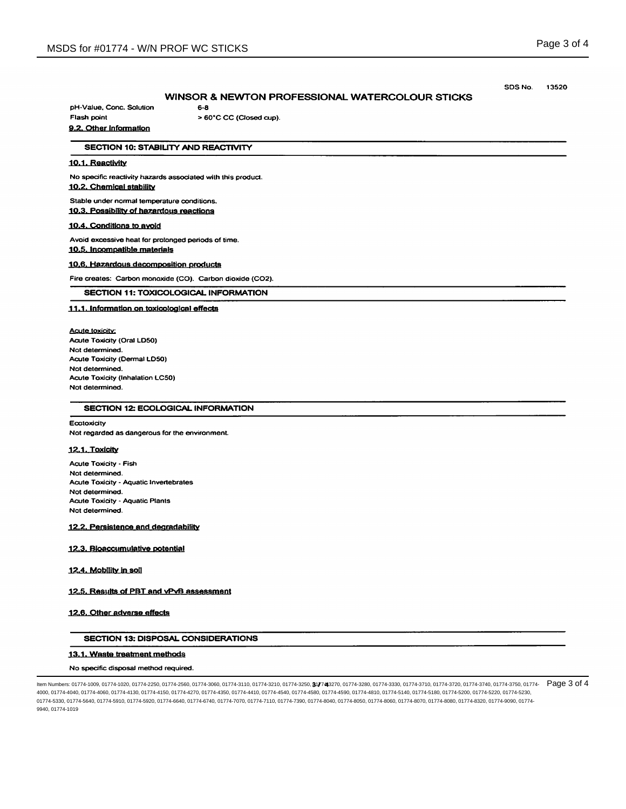## WINSOR & NEWTON PROFESSIONAL WATERCOLOUR STICKS

SDS No. 13520

pH-Value, Conc. Solution **Flash point** 

9.2. Other information

# SECTION 10: STABILITY AND REACTIVITY

6-8

> 60°C CC (Closed cup).

# 10.1. Reactivity

No specific reactivity hazards associated with this product. 10.2. Chemical stability

Stable under normal temperature conditions. 10.3. Possibility of hazardous reactions

#### 10.4. Conditions to avoid

Avoid excessive heat for prolonged periods of time. 10.5. Incompatible materials

#### 10.6. Hazardous decomposition products

Fire creates: Carbon monoxide (CO). Carbon dioxide (CO2).

# SECTION 11: TOXICOLOGICAL INFORMATION

#### 11.1. Information on toxicological effects

Acute toxicity: Acute Toxicity (Oral LD50) Not determined. Acute Toxicity (Dermal LD50) Not determined. Acute Toxicity (Inhalation LC50) Not determined.

# SECTION 12: ECOLOGICAL INFORMATION

Ecotoxicity Not regarded as dangerous for the environment.

### 12.1. Toxicity

**Acute Toxicity - Fish** Not determined. Acute Toxicity - Aquatic Invertebrates Not determined. **Acute Toxicity - Aquatic Plants** Not determined.

# 12.2. Persistence and degradability

#### 12.3. Bioaccumulative potential

12.4. Mobility in soil

# 12.5. Results of PBT and vPvB assessment

# 12.6. Other adverse effects

# **SECTION 13: DISPOSAL CONSIDERATIONS**

#### 13.1. Waste treatment methods

#### No specific disposal method required.

Item Numbers: 01774-1009, 01774-1020, 01774-2250, 01774-2560, 01774-3060, 01774-3110, 01774-3210, 01774-3250, 0174-3250, 01774-3250, 01774-3250, 01774-3310, 01774-3310, 01774-3720, 01774-3720, 01774-3740, 01774-3720, 01774 4000, 01774-4040, 01774-4060, 01774-4130, 01774-4150, 01774-4270, 01774-4350, 01774-4410, 01774-4540, 01774-4580, 01774-4590, 01774-4540, 01774-5140, 01774-5180, 01774-5220, 01774-5230, 01774-5220, 01774-5220, 01774-5220, 0 01774-5330, 01774-5640, 01774-5910, 01774-5920, 01774-6640, 01774-6740, 01774-7070, 01774-7110, 01774-7390, 01774-8040, 01774-8050, 01774-8060, 01774-8070, 01774-8080, 01774-8320, 01774-8020, 0174-8020, 01774-8070, 01774-80 9940, 01774-1019